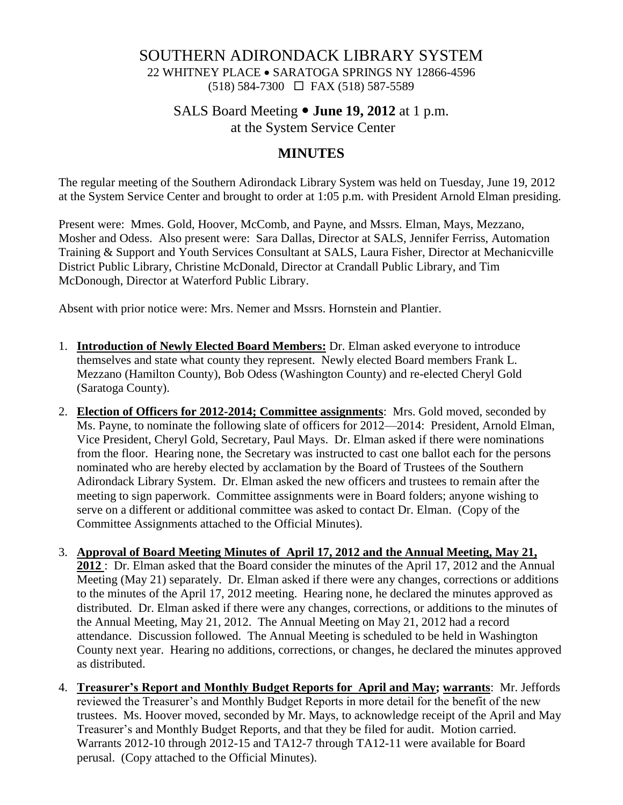#### SOUTHERN ADIRONDACK LIBRARY SYSTEM

22 WHITNEY PLACE • SARATOGA SPRINGS NY 12866-4596 (518) 584-7300 FAX (518) 587-5589

### SALS Board Meeting **June 19, 2012** at 1 p.m. at the System Service Center

### **MINUTES**

The regular meeting of the Southern Adirondack Library System was held on Tuesday, June 19, 2012 at the System Service Center and brought to order at 1:05 p.m. with President Arnold Elman presiding.

Present were: Mmes. Gold, Hoover, McComb, and Payne, and Mssrs. Elman, Mays, Mezzano, Mosher and Odess. Also present were: Sara Dallas, Director at SALS, Jennifer Ferriss, Automation Training & Support and Youth Services Consultant at SALS, Laura Fisher, Director at Mechanicville District Public Library, Christine McDonald, Director at Crandall Public Library, and Tim McDonough, Director at Waterford Public Library.

Absent with prior notice were: Mrs. Nemer and Mssrs. Hornstein and Plantier.

- 1. **Introduction of Newly Elected Board Members:** Dr. Elman asked everyone to introduce themselves and state what county they represent. Newly elected Board members Frank L. Mezzano (Hamilton County), Bob Odess (Washington County) and re-elected Cheryl Gold (Saratoga County).
- 2. **Election of Officers for 2012-2014; Committee assignments**: Mrs. Gold moved, seconded by Ms. Payne, to nominate the following slate of officers for 2012—2014: President, Arnold Elman, Vice President, Cheryl Gold, Secretary, Paul Mays. Dr. Elman asked if there were nominations from the floor. Hearing none, the Secretary was instructed to cast one ballot each for the persons nominated who are hereby elected by acclamation by the Board of Trustees of the Southern Adirondack Library System. Dr. Elman asked the new officers and trustees to remain after the meeting to sign paperwork. Committee assignments were in Board folders; anyone wishing to serve on a different or additional committee was asked to contact Dr. Elman. (Copy of the Committee Assignments attached to the Official Minutes).
- 3. **Approval of Board Meeting Minutes of April 17, 2012 and the Annual Meeting, May 21, 2012** : Dr. Elman asked that the Board consider the minutes of the April 17, 2012 and the Annual Meeting (May 21) separately. Dr. Elman asked if there were any changes, corrections or additions to the minutes of the April 17, 2012 meeting. Hearing none, he declared the minutes approved as distributed. Dr. Elman asked if there were any changes, corrections, or additions to the minutes of the Annual Meeting, May 21, 2012. The Annual Meeting on May 21, 2012 had a record attendance. Discussion followed. The Annual Meeting is scheduled to be held in Washington County next year. Hearing no additions, corrections, or changes, he declared the minutes approved as distributed.
- 4. **Treasurer's Report and Monthly Budget Reports for April and May; warrants**: Mr. Jeffords reviewed the Treasurer's and Monthly Budget Reports in more detail for the benefit of the new trustees. Ms. Hoover moved, seconded by Mr. Mays, to acknowledge receipt of the April and May Treasurer's and Monthly Budget Reports, and that they be filed for audit. Motion carried. Warrants 2012-10 through 2012-15 and TA12-7 through TA12-11 were available for Board perusal. (Copy attached to the Official Minutes).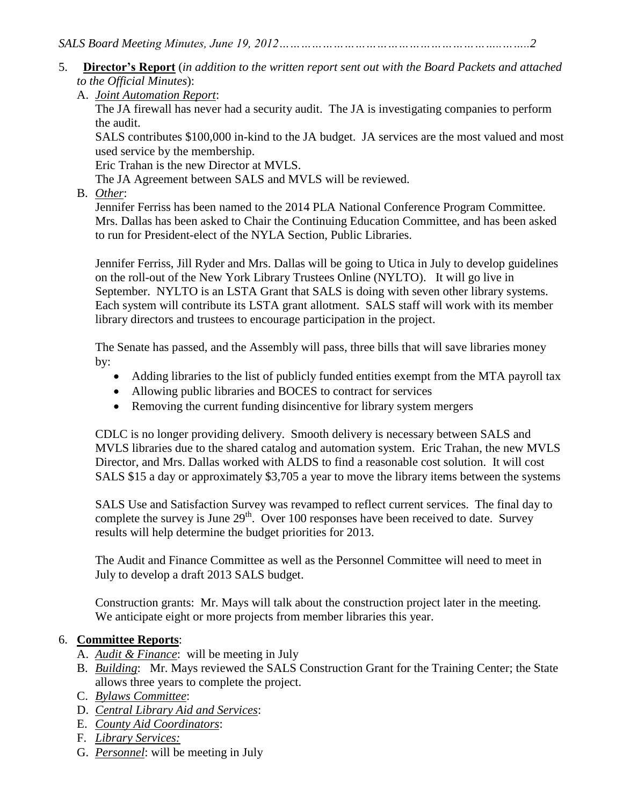- 5. **Director's Report** (*in addition to the written report sent out with the Board Packets and attached to the Official Minutes*):
	- A. *Joint Automation Report*:

The JA firewall has never had a security audit. The JA is investigating companies to perform the audit.

SALS contributes \$100,000 in-kind to the JA budget. JA services are the most valued and most used service by the membership.

Eric Trahan is the new Director at MVLS.

The JA Agreement between SALS and MVLS will be reviewed.

B. *Other*:

Jennifer Ferriss has been named to the 2014 PLA National Conference Program Committee. Mrs. Dallas has been asked to Chair the Continuing Education Committee, and has been asked to run for President-elect of the NYLA Section, Public Libraries.

Jennifer Ferriss, Jill Ryder and Mrs. Dallas will be going to Utica in July to develop guidelines on the roll-out of the New York Library Trustees Online (NYLTO). It will go live in September. NYLTO is an LSTA Grant that SALS is doing with seven other library systems. Each system will contribute its LSTA grant allotment. SALS staff will work with its member library directors and trustees to encourage participation in the project.

The Senate has passed, and the Assembly will pass, three bills that will save libraries money by:

- Adding libraries to the list of publicly funded entities exempt from the MTA payroll tax
- Allowing public libraries and BOCES to contract for services
- Removing the current funding disincentive for library system mergers

CDLC is no longer providing delivery. Smooth delivery is necessary between SALS and MVLS libraries due to the shared catalog and automation system. Eric Trahan, the new MVLS Director, and Mrs. Dallas worked with ALDS to find a reasonable cost solution. It will cost SALS \$15 a day or approximately \$3,705 a year to move the library items between the systems

SALS Use and Satisfaction Survey was revamped to reflect current services. The final day to complete the survey is June  $29<sup>th</sup>$ . Over 100 responses have been received to date. Survey results will help determine the budget priorities for 2013.

The Audit and Finance Committee as well as the Personnel Committee will need to meet in July to develop a draft 2013 SALS budget.

Construction grants: Mr. Mays will talk about the construction project later in the meeting. We anticipate eight or more projects from member libraries this year.

#### 6. **Committee Reports**:

- A. *Audit & Finance*: will be meeting in July
- B. *Building*: Mr. Mays reviewed the SALS Construction Grant for the Training Center; the State allows three years to complete the project.
- C. *Bylaws Committee*:
- D. *Central Library Aid and Services*:
- E. *County Aid Coordinators*:
- F. *Library Services:*
- G. *Personnel*: will be meeting in July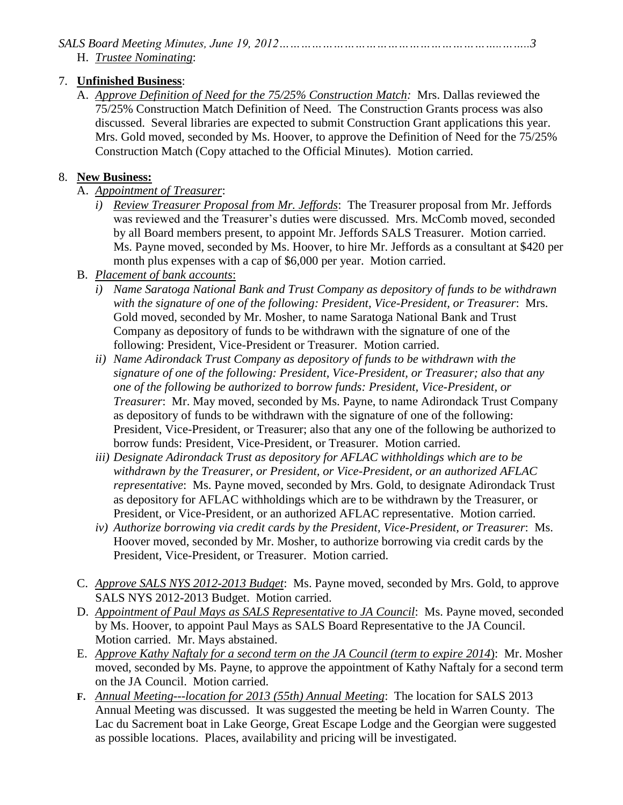### *SALS Board Meeting Minutes, June 19, 2012……………………………………………………..……..3*

H. *Trustee Nominating*:

## 7. **Unfinished Business**:

A. *Approve Definition of Need for the 75/25% Construction Match:* Mrs. Dallas reviewed the 75/25% Construction Match Definition of Need. The Construction Grants process was also discussed. Several libraries are expected to submit Construction Grant applications this year. Mrs. Gold moved, seconded by Ms. Hoover, to approve the Definition of Need for the 75/25% Construction Match (Copy attached to the Official Minutes). Motion carried.

# 8. **New Business:**

- A. *Appointment of Treasurer*:
	- *i) Review Treasurer Proposal from Mr. Jeffords*: The Treasurer proposal from Mr. Jeffords was reviewed and the Treasurer's duties were discussed. Mrs. McComb moved, seconded by all Board members present, to appoint Mr. Jeffords SALS Treasurer. Motion carried. Ms. Payne moved, seconded by Ms. Hoover, to hire Mr. Jeffords as a consultant at \$420 per month plus expenses with a cap of \$6,000 per year. Motion carried.
- B. *Placement of bank accounts*:
	- *i) Name Saratoga National Bank and Trust Company as depository of funds to be withdrawn with the signature of one of the following: President, Vice-President, or Treasurer*: Mrs. Gold moved, seconded by Mr. Mosher, to name Saratoga National Bank and Trust Company as depository of funds to be withdrawn with the signature of one of the following: President, Vice-President or Treasurer. Motion carried.
	- *ii) Name Adirondack Trust Company as depository of funds to be withdrawn with the signature of one of the following: President, Vice-President, or Treasurer; also that any one of the following be authorized to borrow funds: President, Vice-President, or Treasurer*: Mr. May moved, seconded by Ms. Payne, to name Adirondack Trust Company as depository of funds to be withdrawn with the signature of one of the following: President, Vice-President, or Treasurer; also that any one of the following be authorized to borrow funds: President, Vice-President, or Treasurer. Motion carried.
	- *iii) Designate Adirondack Trust as depository for AFLAC withholdings which are to be withdrawn by the Treasurer, or President, or Vice-President, or an authorized AFLAC representative*: Ms. Payne moved, seconded by Mrs. Gold, to designate Adirondack Trust as depository for AFLAC withholdings which are to be withdrawn by the Treasurer, or President, or Vice-President, or an authorized AFLAC representative. Motion carried.
	- *iv) Authorize borrowing via credit cards by the President, Vice-President, or Treasurer*: Ms. Hoover moved, seconded by Mr. Mosher, to authorize borrowing via credit cards by the President, Vice-President, or Treasurer. Motion carried.
- C. *Approve SALS NYS 2012-2013 Budget*: Ms. Payne moved, seconded by Mrs. Gold, to approve SALS NYS 2012-2013 Budget. Motion carried.
- D. *Appointment of Paul Mays as SALS Representative to JA Council*: Ms. Payne moved, seconded by Ms. Hoover, to appoint Paul Mays as SALS Board Representative to the JA Council. Motion carried. Mr. Mays abstained.
- E. *Approve Kathy Naftaly for a second term on the JA Council (term to expire 2014*): Mr. Mosher moved, seconded by Ms. Payne, to approve the appointment of Kathy Naftaly for a second term on the JA Council. Motion carried.
- **F.** *Annual Meeting---location for 2013 (55th) Annual Meeting*: The location for SALS 2013 Annual Meeting was discussed. It was suggested the meeting be held in Warren County. The Lac du Sacrement boat in Lake George, Great Escape Lodge and the Georgian were suggested as possible locations. Places, availability and pricing will be investigated.